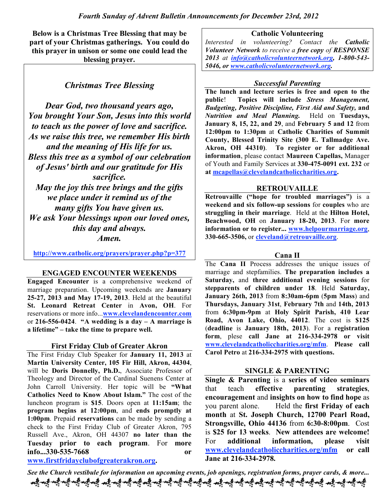**Below is a Christmas Tree Blessing that may be part of your Christmas gatherings. You could do this prayer in unison or some one could lead the blessing prayer.**

*Christmas Tree Blessing*

*Dear God, two thousand years ago, You brought Your Son, Jesus into this world to teach us the power of love and sacrifice. As we raise this tree, we remember His birth and the meaning of His life for us. Bless this tree as a symbol of our celebration of Jesus' birth and our gratitude for His sacrifice. May the joy this tree brings and the gifts we place under it remind us of the many gifts You have given us. We ask Your blessings upon our loved ones, this day and always.*

*Amen.*

**http://www.catholic.org/prayers/prayer.php?p=377**

#### **ENGAGED ENCOUNTER WEEKENDS**

**Engaged Encounter** is a comprehensive weekend of marriage preparation. Upcoming weekends are **January 25-27, 2013 and May 17-19, 2013**. Held at the beautiful **St. Leonard Retreat Center** in **Avon, OH**. For reservations or more info...**www.clevelandencounter.com** or **216-556-0424**. **"A wedding is a day – A marriage is a lifetime" – take the time to prepare well.**

#### **First Friday Club of Greater Akron**

The First Friday Club Speaker for **January 11, 2013** at **Martin University Center, 105 Fir Hill, Akron, 44304**, will be **Doris Donnelly, Ph.D.**, Associate Professor of Theology and Director of the Cardinal Suenens Center at John Carroll University. Her topic will be **"What Catholics Need to Know About Islam."** The cost of the luncheon program is **\$15**. Doors open at **11:15am**; the **program begins at 12:00pm**, and **ends promptly at 1:00pm**. Prepaid **reservations** can be made by sending a check to the First Friday Club of Greater Akron, 795 Russell Ave., Akron, OH 44307 **no later than the Tuesday prior to each program**. For **more info...330-535-7668 or**

## **www.firstfridayclubofgreaterakron.org.**

**Catholic Volunteering**

*Interested in volunteering? Contact the Catholic Volunteer Network to receive a free copy of RESPONSE 2013 at info@catholicvolunteernetwork.org, 1-800-543- 5046, or www.catholicvolunteernetwork.org.*

## *Successful Parenting*

**The lunch and lecture series is free and open to the public**! **Topics will include** *Stress Management, Budgeting, Positive Discipline, First Aid and Safety,* **and** *Nutrition and Meal Planning.* Held on **Tuesdays, January 8, 15, 22, and 29**, and **February 5 and 12** from **12:00pm to 1:30pm** at **Catholic Charities of Summit County, Blessed Trinity Site (300 E. Tallmadge Ave. Akron, OH 44310)**. **To register or for additional information**, please contact **Maureen Capellas,** Manager of Youth and Family Services at **330-475-0091 ext. 232** or **at mcapellas@clevelandcatholiccharities.org.**

### **RETROUVAILLE**

**Retrouvaille ("hope for troubled marriages")** is a **weekend and six follow-up sessions** for **couples** who are **struggling in their marriage**. Held at the **Hilton Hotel, Beachwood, OH** on **January 18-20, 2013**. For **more information or to register... www.helpourmarriage.org**, **330-665-3506,** or **cleveland@retrouvaille.org**.

#### **Cana II**

The **Cana II** Process addresses the unique issues of marriage and stepfamilies. **The preparation includes a Saturday,** and **three additional evening sessions** for **stepparents of children under 18**. Held **Saturday, January 26th, 2013** from **8:30am-6pm** (**5pm Mass**) and **Thursdays, January 31st**, **February 7th** and **14th, 2013** from **6:30pm-9pm** at **Holy Spirit Parish, 410 Lear Road, Avon Lake, Ohio, 44012**. The cost is **\$125** (**deadline** is **January 18th, 2013**). For a **registration form**, plese **call Jane at 216-334-2978 or visit www.clevelandcatholiccharities.org/mfm**. **Please call Carol Petro** at **216-334-2975 with questions.**

## **SINGLE & PARENTING**

**Single & Parenting** is a **series of video seminars** that teach **effective parenting strategies**, **encouragement** and **insights on how to find hope** as you parent alone. Held the **first Friday of each month** at **St. Joseph Church, 12700 Pearl Road, Strongsville, Ohio 44136** from **6:30-8:00pm**. Cost is **\$25 for 13 weeks**. **New attendees are welcome!** For **additional information, please visit www.clevelandcatholiccharities.org/mfm or call Jane at 216-334-2978.**

*See the Church vestibule for information on upcoming events, job openings, registration forms, prayer cards, & more...*